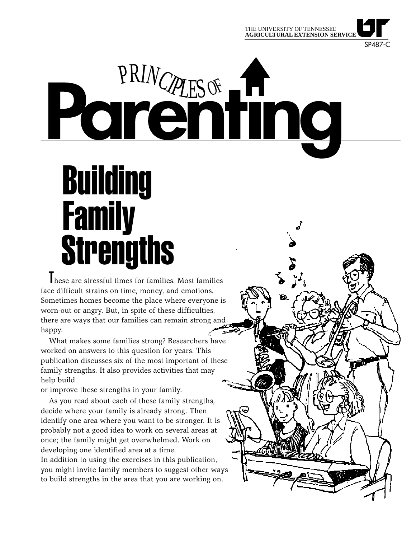

SP487-C

# PRINCIPLES OF THE CONTROL

## Building **Family Strengths**

These are stressful times for families. Most families face difficult strains on time, money, and emotions. Sometimes homes become the place where everyone is worn-out or angry. But, in spite of these difficulties, there are ways that our families can remain strong and happy.

What makes some families strong? Researchers have worked on answers to this question for years. This publication discusses six of the most important of these family strengths. It also provides activities that may help build

or improve these strengths in your family.

As you read about each of these family strengths, decide where your family is already strong. Then identify one area where you want to be stronger. It is probably not a good idea to work on several areas at once; the family might get overwhelmed. Work on developing one identified area at a time. In addition to using the exercises in this publication, you might invite family members to suggest other ways to build strengths in the area that you are working on.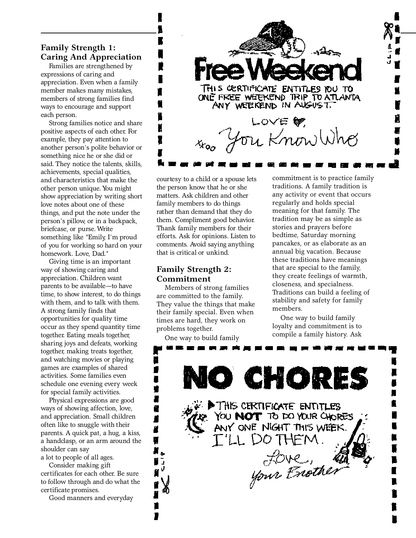#### **Family Strength 1: Caring And Appreciation**

Families are strengthened by expressions of caring and appreciation. Even when a family member makes many mistakes, members of strong families find ways to encourage and support each person.

Strong families notice and share positive aspects of each other. For example, they pay attention to another person's polite behavior or something nice he or she did or said. They notice the talents, skills, achievements, special qualities, and characteristics that make the other person unique. You might show appreciation by writing short love notes about one of these things, and put the note under the person's pillow, or in a backpack, briefcase, or purse. Write something like "Emily, I'm proud of you for working so hard on your homework. Love, Dad."

Giving time is an important way of showing caring and appreciation. Children want parents to be available—to have time, to show interest, to do things with them, and to talk with them. A strong family finds that opportunities for quality time occur as they spend quantity time together. Eating meals together, sharing joys and defeats, working together, making treats together, and watching movies or playing games are examples of shared activities. Some families even schedule one evening every week for special family activities.

Physical expressions are good ways of showing affection, love, and appreciation. Small children often like to snuggle with their parents. A quick pat, a hug, a kiss, a handclasp, or an arm around the shoulder can say a lot to people of all ages.

Consider making gift certificates for each other. Be sure to follow through and do what the certificate promises.

Good manners and everyday



courtesy to a child or a spouse lets the person know that he or she matters. Ask children and other family members to do things rather than demand that they do them. Compliment good behavior. Thank family members for their efforts. Ask for opinions. Listen to comments. Avoid saying anything that is critical or unkind.

#### **Family Strength 2: Commitment**

Members of strong families are committed to the family. They value the things that make their family special. Even when times are hard, they work on problems together.

One way to build family

п

٠ ∎ ŧ r

Z

g

W ū ν . . .

commitment is to practice family traditions. A family tradition is any activity or event that occurs regularly and holds special meaning for that family. The tradition may be as simple as stories and prayers before bedtime, Saturday morning pancakes, or as elaborate as an annual big vacation. Because these traditions have meanings that are special to the family, they create feelings of warmth, closeness, and specialness. Traditions can build a feeling of stability and safety for family members.

One way to build family loyalty and commitment is to compile a family history. Ask

O CHORES

THIS CERTIFICATE ENTITLES

YOU NOT TO DO YOUR CHORES ANY ONE NIGHT THIS WEEK.

your Enother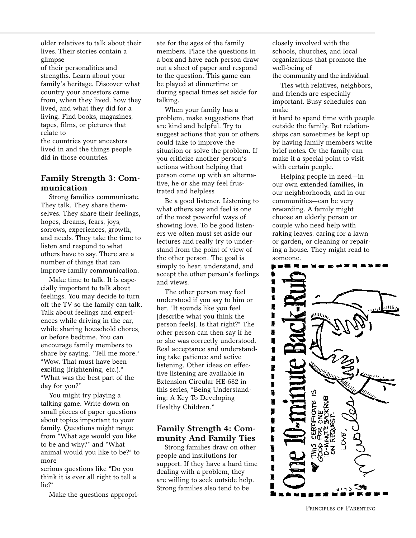older relatives to talk about their lives. Their stories contain a glimpse

of their personalities and strengths. Learn about your family's heritage. Discover what country your ancestors came from, when they lived, how they lived, and what they did for a living. Find books, magazines, tapes, films, or pictures that relate to

the countries your ancestors lived in and the things people did in those countries.

#### **Family Strength 3: Communication**

Strong families communicate. They talk. They share themselves. They share their feelings, hopes, dreams, fears, joys, sorrows, experiences, growth, and needs. They take the time to listen and respond to what others have to say. There are a number of things that can improve family communication.

Make time to talk. It is especially important to talk about feelings. You may decide to turn off the TV so the family can talk. Talk about feelings and experiences while driving in the car, while sharing household chores, or before bedtime. You can encourage family members to share by saying, "Tell me more." "Wow. That must have been exciting (frightening, etc.)." "What was the best part of the day for you?"

You might try playing a talking game. Write down on small pieces of paper questions about topics important to your family. Questions might range from "What age would you like to be and why?" and "What animal would you like to be?" to more

serious questions like "Do you think it is ever all right to tell a lie?"

Make the questions appropri-

ate for the ages of the family members. Place the questions in a box and have each person draw out a sheet of paper and respond to the question. This game can be played at dinnertime or during special times set aside for talking.

When your family has a problem, make suggestions that are kind and helpful. Try to suggest actions that you or others could take to improve the situation or solve the problem. If you criticize another person's actions without helping that person come up with an alternative, he or she may feel frustrated and helpless.

Be a good listener. Listening to what others say and feel is one of the most powerful ways of showing love. To be good listeners we often must set aside our lectures and really try to understand from the point of view of the other person. The goal is simply to hear, understand, and accept the other person's feelings and views.

The other person may feel understood if you say to him or her, "It sounds like you feel [describe what you think the person feels]. Is that right?" The other person can then say if he or she was correctly understood. Real acceptance and understanding take patience and active listening. Other ideas on effective listening are available in Extension Circular HE-682 in this series, "Being Understanding: A Key To Developing Healthy Children."

#### **Family Strength 4: Community And Family Ties**

Strong families draw on other people and institutions for support. If they have a hard time dealing with a problem, they are willing to seek outside help. Strong families also tend to be

closely involved with the schools, churches, and local organizations that promote the well-being of

the community and the individual.

Ties with relatives, neighbors, and friends are especially important. Busy schedules can make

it hard to spend time with people outside the family. But relationships can sometimes be kept up by having family members write brief notes. Or the family can make it a special point to visit with certain people.

Helping people in need—in our own extended families, in our neighborhoods, and in our communities—can be very rewarding. A family might choose an elderly person or couple who need help with raking leaves, caring for a lawn or garden, or cleaning or repairing a house. They might read to someone.



PRINCIPLES OF PARENTING